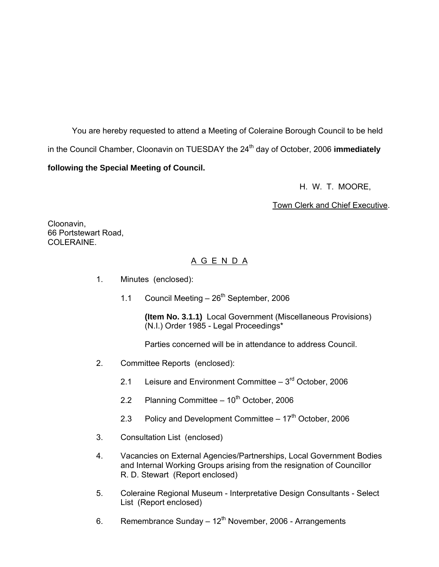You are hereby requested to attend a Meeting of Coleraine Borough Council to be held in the Council Chamber, Cloonavin on TUESDAY the 24<sup>th</sup> day of October, 2006 **immediately following the Special Meeting of Council.** 

H. W. T. MOORE,

Town Clerk and Chief Executive.

Cloonavin, 66 Portstewart Road, COLERAINE.

# A G E N D A

- 1. Minutes (enclosed):
	- 1.1 Council Meeting  $-26^{th}$  September, 2006

**(Item No. 3.1.1)** Local Government (Miscellaneous Provisions) (N.I.) Order 1985 - Legal Proceedings\*

Parties concerned will be in attendance to address Council.

- 2. Committee Reports (enclosed):
	- 2.1 Leisure and Environment Committee  $-3<sup>rd</sup>$  October, 2006
	- 2.2 Planning Committee  $-10^{th}$  October, 2006
	- 2.3 Policy and Development Committee  $-17<sup>th</sup>$  October, 2006
- 3. Consultation List (enclosed)
- 4. Vacancies on External Agencies/Partnerships, Local Government Bodies and Internal Working Groups arising from the resignation of Councillor R. D. Stewart (Report enclosed)
- 5. Coleraine Regional Museum Interpretative Design Consultants Select List (Report enclosed)
- 6. Remembrance Sunday  $-12^{th}$  November, 2006 Arrangements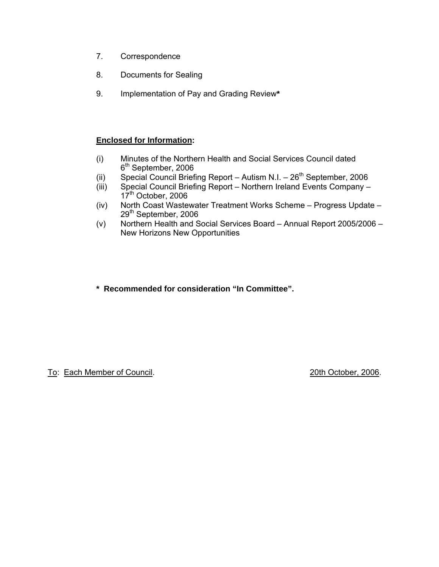- 7. Correspondence
- 8. Documents for Sealing
- 9. Implementation of Pay and Grading Review**\***

# **Enclosed for Information:**

- (i) Minutes of the Northern Health and Social Services Council dated 6<sup>th</sup> September, 2006
- (ii) Special Council Briefing Report Autism N.I.  $26<sup>th</sup>$  September, 2006
- (iii) Special Council Briefing Report Northern Ireland Events Company 17<sup>th</sup> October, 2006
- (iv) North Coast Wastewater Treatment Works Scheme Progress Update 29<sup>th</sup> September, 2006
- (v) Northern Health and Social Services Board Annual Report 2005/2006 New Horizons New Opportunities

**\* Recommended for consideration "In Committee".** 

To: Each Member of Council. 2006. To: 20th October, 2006.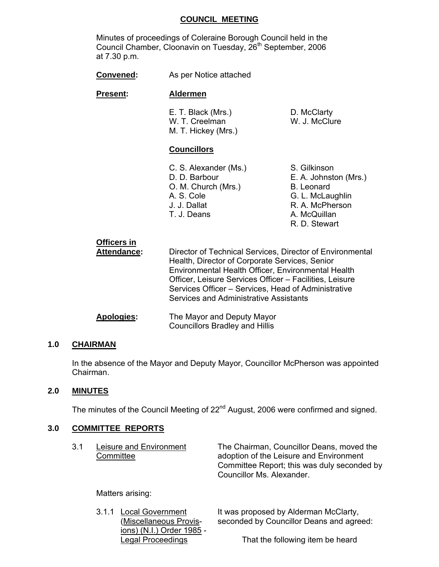### **COUNCIL MEETING**

 Minutes of proceedings of Coleraine Borough Council held in the Council Chamber, Cloonavin on Tuesday, 26<sup>th</sup> September, 2006 at 7.30 p.m.

| <b>Convened:</b> | As per Notice attached |
|------------------|------------------------|
|------------------|------------------------|

#### **Present: Aldermen**

E. T. Black (Mrs.) D. McClarty W. T. Creelman W. J. McClure M. T. Hickey (Mrs.)

# **Councillors**

| C. S. Alexander (Ms.) | S. Gilkinson          |
|-----------------------|-----------------------|
| D. D. Barbour         | E. A. Johnston (Mrs.) |
| O. M. Church (Mrs.)   | <b>B.</b> Leonard     |
| A. S. Cole            | G. L. McLaughlin      |
| J. J. Dallat          | R. A. McPherson       |
| T. J. Deans           | A. McQuillan          |
|                       | R. D. Stewart         |

| <b>Officers in</b><br><b>Attendance:</b> | Director of Technical Services, Director of Environmental<br>Health, Director of Corporate Services, Senior<br>Environmental Health Officer, Environmental Health<br>Officer, Leisure Services Officer - Facilities, Leisure<br>Services Officer - Services, Head of Administrative<br>Services and Administrative Assistants |
|------------------------------------------|-------------------------------------------------------------------------------------------------------------------------------------------------------------------------------------------------------------------------------------------------------------------------------------------------------------------------------|
| <b>Apologies:</b>                        | The Mayor and Deputy Mayor<br><b>Councillors Bradley and Hillis</b>                                                                                                                                                                                                                                                           |

# **1.0 CHAIRMAN**

In the absence of the Mayor and Deputy Mayor, Councillor McPherson was appointed Chairman.

# **2.0 MINUTES**

The minutes of the Council Meeting of 22<sup>nd</sup> August, 2006 were confirmed and signed.

# **3.0 COMMITTEE REPORTS**

| 3.1 | Leisure and Environment<br>Committee            | The Chairman, Councillor Deans, moved the<br>adoption of the Leisure and Environment<br>Committee Report; this was duly seconded by<br>Councillor Ms. Alexander. |
|-----|-------------------------------------------------|------------------------------------------------------------------------------------------------------------------------------------------------------------------|
|     | Matters arising:                                |                                                                                                                                                                  |
|     | 3.1.1 Local Government<br>Miscellaneous Provis- | It was proposed by Alderman McClarty,<br>seconded by Councillor Deans and agreed:                                                                                |

ions) (N.I.) Order 1985 -

Legal Proceedings That the following item be heard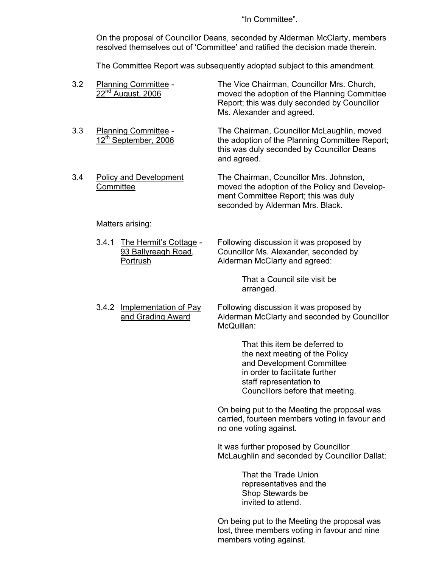"In Committee".

 On the proposal of Councillor Deans, seconded by Alderman McClarty, members resolved themselves out of 'Committee' and ratified the decision made therein.

The Committee Report was subsequently adopted subject to this amendment.

| 3.2 |           | Planning Committee -<br>22 <sup>nd</sup> August, 2006            | The Vice Chairman, Councillor Mrs. Church,<br>moved the adoption of the Planning Committee<br>Report; this was duly seconded by Councillor<br>Ms. Alexander and agreed.                       |
|-----|-----------|------------------------------------------------------------------|-----------------------------------------------------------------------------------------------------------------------------------------------------------------------------------------------|
| 3.3 |           | Planning Committee -<br>12 <sup>th</sup> September, 2006         | The Chairman, Councillor McLaughlin, moved<br>the adoption of the Planning Committee Report;<br>this was duly seconded by Councillor Deans<br>and agreed.                                     |
| 3.4 | Committee | <b>Policy and Development</b>                                    | The Chairman, Councillor Mrs. Johnston,<br>moved the adoption of the Policy and Develop-<br>ment Committee Report; this was duly<br>seconded by Alderman Mrs. Black.                          |
|     |           | Matters arising:                                                 |                                                                                                                                                                                               |
|     | 3.4.1     | The Hermit's Cottage -<br>93 Ballyreagh Road,<br><b>Portrush</b> | Following discussion it was proposed by<br>Councillor Ms. Alexander, seconded by<br>Alderman McClarty and agreed:                                                                             |
|     |           |                                                                  | That a Council site visit be<br>arranged.                                                                                                                                                     |
|     | 3.4.2     | <b>Implementation of Pay</b><br>and Grading Award                | Following discussion it was proposed by<br>Alderman McClarty and seconded by Councillor<br>McQuillan:                                                                                         |
|     |           |                                                                  | That this item be deferred to<br>the next meeting of the Policy<br>and Development Committee<br>in order to facilitate further<br>staff representation to<br>Councillors before that meeting. |
|     |           |                                                                  | On being put to the Meeting the proposal was<br>carried, fourteen members voting in favour and<br>no one voting against.                                                                      |
|     |           |                                                                  | It was further proposed by Councillor<br>McLaughlin and seconded by Councillor Dallat:                                                                                                        |
|     |           |                                                                  | That the Trade Union<br>representatives and the<br>Shop Stewards be<br>invited to attend.                                                                                                     |
|     |           |                                                                  | On being put to the Meeting the proposal was<br>lost, three members voting in favour and nine<br>members voting against.                                                                      |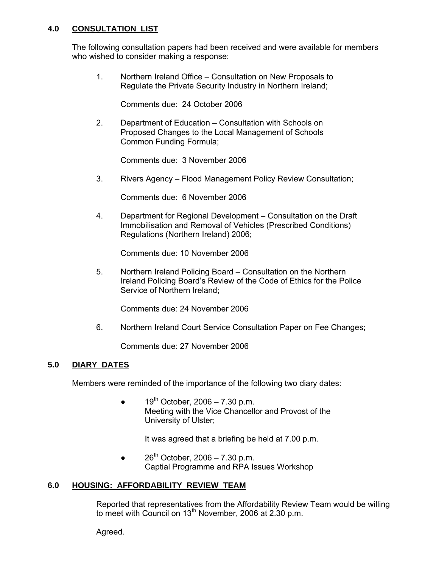# **4.0 CONSULTATION LIST**

 The following consultation papers had been received and were available for members who wished to consider making a response:

 1. Northern Ireland Office – Consultation on New Proposals to Regulate the Private Security Industry in Northern Ireland;

Comments due: 24 October 2006

 2. Department of Education – Consultation with Schools on Proposed Changes to the Local Management of Schools Common Funding Formula;

Comments due: 3 November 2006

3. Rivers Agency – Flood Management Policy Review Consultation;

Comments due: 6 November 2006

 4. Department for Regional Development – Consultation on the Draft Immobilisation and Removal of Vehicles (Prescribed Conditions) Regulations (Northern Ireland) 2006;

Comments due: 10 November 2006

 5. Northern Ireland Policing Board – Consultation on the Northern Ireland Policing Board's Review of the Code of Ethics for the Police Service of Northern Ireland;

Comments due: 24 November 2006

6. Northern Ireland Court Service Consultation Paper on Fee Changes;

Comments due: 27 November 2006

#### **5.0 DIARY DATES**

Members were reminded of the importance of the following two diary dates:

 $19^{th}$  October, 2006 – 7.30 p.m. Meeting with the Vice Chancellor and Provost of the University of Ulster;

It was agreed that a briefing be held at 7.00 p.m.

 $\bullet$  26<sup>th</sup> October, 2006 – 7.30 p.m. Captial Programme and RPA Issues Workshop

#### **6.0 HOUSING: AFFORDABILITY REVIEW TEAM**

 Reported that representatives from the Affordability Review Team would be willing to meet with Council on  $13<sup>th</sup>$  November, 2006 at 2.30 p.m.

Agreed.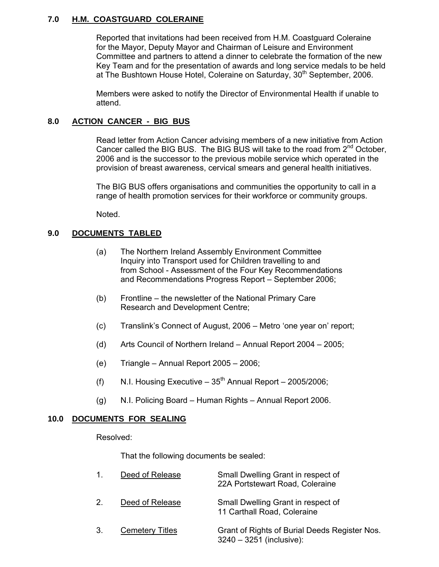# **7.0 H.M. COASTGUARD COLERAINE**

 Reported that invitations had been received from H.M. Coastguard Coleraine for the Mayor, Deputy Mayor and Chairman of Leisure and Environment Committee and partners to attend a dinner to celebrate the formation of the new Key Team and for the presentation of awards and long service medals to be held at The Bushtown House Hotel, Coleraine on Saturday, 30<sup>th</sup> September, 2006.

 Members were asked to notify the Director of Environmental Health if unable to attend.

# **8.0 ACTION CANCER - BIG BUS**

Read letter from Action Cancer advising members of a new initiative from Action Cancer called the BIG BUS. The BIG BUS will take to the road from 2<sup>nd</sup> October. 2006 and is the successor to the previous mobile service which operated in the provision of breast awareness, cervical smears and general health initiatives.

 The BIG BUS offers organisations and communities the opportunity to call in a range of health promotion services for their workforce or community groups.

Noted.

# **9.0 DOCUMENTS TABLED**

- (a) The Northern Ireland Assembly Environment Committee Inquiry into Transport used for Children travelling to and from School - Assessment of the Four Key Recommendations and Recommendations Progress Report – September 2006;
- (b) Frontline the newsletter of the National Primary Care Research and Development Centre;
- (c) Translink's Connect of August, 2006 Metro 'one year on' report;
- (d) Arts Council of Northern Ireland Annual Report 2004 2005;
- (e) Triangle Annual Report 2005 2006;
- (f) N.I. Housing Executive  $35<sup>th</sup>$  Annual Report 2005/2006;
- (g) N.I. Policing Board Human Rights Annual Report 2006.

# **10.0 DOCUMENTS FOR SEALING**

Resolved:

That the following documents be sealed:

|                | Deed of Release        | Small Dwelling Grant in respect of<br>22A Portstewart Road, Coleraine     |
|----------------|------------------------|---------------------------------------------------------------------------|
| 2 <sub>1</sub> | Deed of Release        | Small Dwelling Grant in respect of<br>11 Carthall Road, Coleraine         |
| 3.             | <b>Cemetery Titles</b> | Grant of Rights of Burial Deeds Register Nos.<br>3240 - 3251 (inclusive): |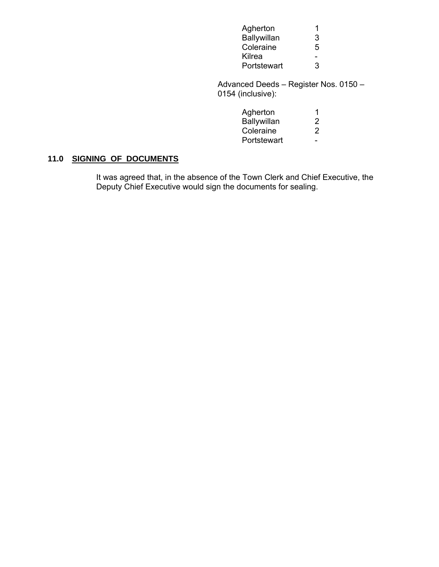| Agherton    | $\overline{1}$           |
|-------------|--------------------------|
| Ballywillan | 3                        |
| Coleraine   | 5                        |
| Kilrea      | $\overline{\phantom{0}}$ |
| Portstewart | 3                        |

 Advanced Deeds – Register Nos. 0150 – 0154 (inclusive):

| Agherton    |                       |
|-------------|-----------------------|
| Ballywillan | $\mathbf{2}^{\prime}$ |
| Coleraine   | 2                     |
| Portstewart | $\sim$ $\sim$         |

# **11.0 SIGNING OF DOCUMENTS**

 It was agreed that, in the absence of the Town Clerk and Chief Executive, the Deputy Chief Executive would sign the documents for sealing.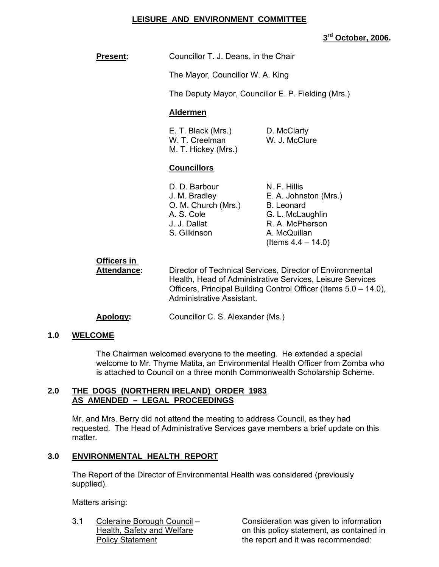# **LEISURE AND ENVIRONMENT COMMITTEE**

**3rd October, 2006.** 

**Present:** Councillor T. J. Deans, in the Chair

The Mayor, Councillor W. A. King

The Deputy Mayor, Councillor E. P. Fielding (Mrs.)

#### **Aldermen**

| E. T. Black (Mrs.)  | D. McClarty   |
|---------------------|---------------|
| W. T. Creelman      | W. J. McClure |
| M. T. Hickey (Mrs.) |               |

#### **Councillors**

| D. D. Barbour       | N. F. Hillis          |
|---------------------|-----------------------|
| J. M. Bradley       | E. A. Johnston (Mrs.) |
| O. M. Church (Mrs.) | <b>B.</b> Leonard     |
| A. S. Cole          | G. L. McLaughlin      |
| J. J. Dallat        | R. A. McPherson       |
| S. Gilkinson        | A. McQuillan          |
|                     | (Items $4.4 - 14.0$ ) |

# **Officers in**

**Attendance:** Director of Technical Services, Director of Environmental Health, Head of Administrative Services, Leisure Services Officers, Principal Building Control Officer (Items 5.0 – 14.0), Administrative Assistant.

**Apology:** Councillor C. S. Alexander (Ms.)

#### **1.0 WELCOME**

The Chairman welcomed everyone to the meeting. He extended a special welcome to Mr. Thyme Matita, an Environmental Health Officer from Zomba who is attached to Council on a three month Commonwealth Scholarship Scheme.

#### **2.0 THE DOGS (NORTHERN IRELAND) ORDER 1983 AS AMENDED – LEGAL PROCEEDINGS**

Mr. and Mrs. Berry did not attend the meeting to address Council, as they had requested. The Head of Administrative Services gave members a brief update on this matter.

#### **3.0 ENVIRONMENTAL HEALTH REPORT**

 The Report of the Director of Environmental Health was considered (previously supplied).

Matters arising:

3.1 Coleraine Borough Council – Consideration was given to information Health, Safety and Welfare on this policy statement, as contained in Policy Statement The report and it was recommended: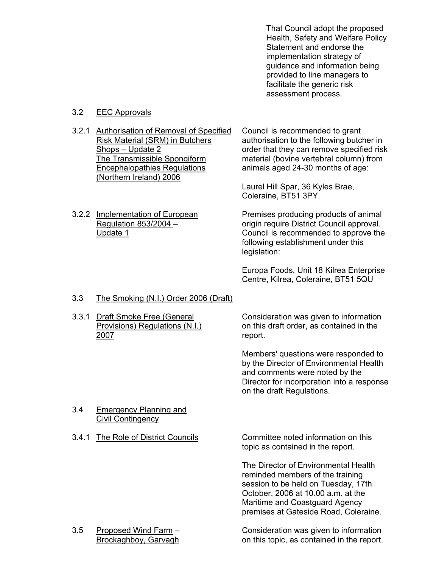That Council adopt the proposed Health, Safety and Welfare Policy Statement and endorse the implementation strategy of guidance and information being provided to line managers to facilitate the generic risk assessment process.

### 3.2 EEC Approvals

3.2.1 Authorisation of Removal of Specified Council is recommended to grant<br>Risk Material (SRM) in Butchers authorisation to the following butcl Encephalopathies Regulations animals aged 24-30 months of age: (Northern Ireland) 2006

authorisation to the following butcher in Shops – Update 2 order that they can remove specified risk<br>The Transmissible Spongiform material (bovine vertebral column) from material (bovine vertebral column) from

> Laurel Hill Spar, 36 Kyles Brae, Coleraine, BT51 3PY.

3.2.2 Implementation of European Premises producing products of animal Regulation 853/2004 – origin require District Council approval. Update 1 Council is recommended to approve the following establishment under this legislation:

> Europa Foods, Unit 18 Kilrea Enterprise Centre, Kilrea, Coleraine, BT51 5QU

- 3.3 The Smoking (N.I.) Order 2006 (Draft)
- 2007 **report.**

 3.3.1 Draft Smoke Free (General Consideration was given to information Provisions) Regulations (N.I.) on this draft order, as contained in the

> Members' questions were responded to by the Director of Environmental Health and comments were noted by the Director for incorporation into a response on the draft Regulations.

#### 3.4 Emergency Planning and Civil Contingency

 3.4.1 The Role of District Councils Committee noted information on this topic as contained in the report.

> The Director of Environmental Health reminded members of the training session to be held on Tuesday, 17th October, 2006 at 10.00 a.m. at the Maritime and Coastguard Agency premises at Gateside Road, Coleraine.

3.5 Proposed Wind Farm – Consideration was given to information Brockaghboy, Garvagh on this topic, as contained in the report.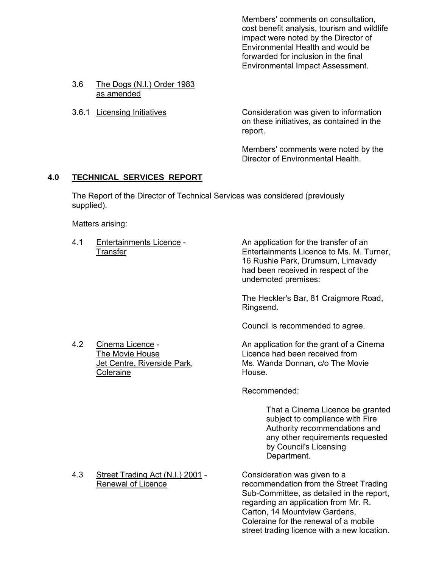Members' comments on consultation, cost benefit analysis, tourism and wildlife impact were noted by the Director of Environmental Health and would be forwarded for inclusion in the final Environmental Impact Assessment.

- 3.6 The Dogs (N.I.) Order 1983 as amended
- 

3.6.1 Licensing Initiatives Consideration was given to information on these initiatives, as contained in the report.

> Members' comments were noted by the Director of Environmental Health.

# **4.0 TECHNICAL SERVICES REPORT**

 The Report of the Director of Technical Services was considered (previously supplied).

Matters arising:

 4.1 Entertainments Licence - An application for the transfer of an Transfer Entertainments Licence to Ms. M. Turner, 16 Rushie Park, Drumsurn, Limavady had been received in respect of the undernoted premises:

> The Heckler's Bar, 81 Craigmore Road, Ringsend.

Council is recommended to agree.

4.2 Cinema Licence - An application for the grant of a Cinema The Movie House<br>
Jet Centre, Riverside Park, Ms. Wanda Donnan, c/o The Mo Ms. Wanda Donnan, c/o The Movie

Recommended:

 That a Cinema Licence be granted subject to compliance with Fire Authority recommendations and any other requirements requested by Council's Licensing Department.

Renewal of Licence **Renewal of Licence** recommendation from the Street Trading Sub-Committee, as detailed in the report, regarding an application from Mr. R. Carton, 14 Mountview Gardens, Coleraine for the renewal of a mobile street trading licence with a new location.

Coleraine **House**.

4.3 Street Trading Act (N.I.) 2001 - Consideration was given to a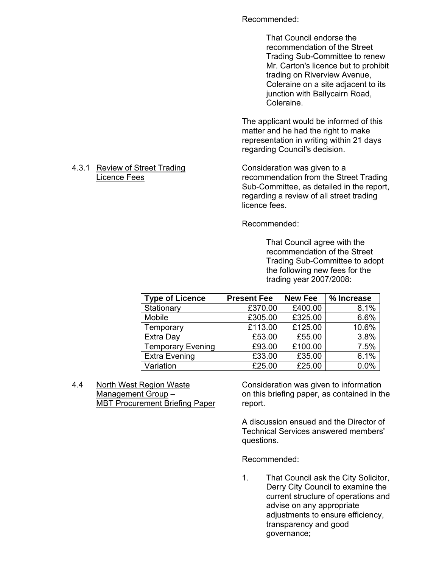#### Recommended:

That Council endorse the recommendation of the Street Trading Sub-Committee to renew Mr. Carton's licence but to prohibit trading on Riverview Avenue, Coleraine on a site adjacent to its junction with Ballycairn Road, Coleraine.

The applicant would be informed of this matter and he had the right to make representation in writing within 21 days regarding Council's decision.

# Licence Fees recommendation from the Street Trading Sub-Committee, as detailed in the report, regarding a review of all street trading licence fees.

Recommended:

 That Council agree with the recommendation of the Street Trading Sub-Committee to adopt the following new fees for the trading year 2007/2008:

| <b>Type of Licence</b>   | <b>Present Fee</b> | <b>New Fee</b> | % Increase |
|--------------------------|--------------------|----------------|------------|
| Stationary               | £370.00            | £400.00        | 8.1%       |
| Mobile                   | £305.00            | £325.00        | 6.6%       |
| Temporary                | £113.00            | £125.00        | 10.6%      |
| Extra Day                | £53.00             | £55.00         | 3.8%       |
| <b>Temporary Evening</b> | £93.00             | £100.00        | 7.5%       |
| <b>Extra Evening</b>     | £33.00             | £35.00         | 6.1%       |
| Variation                | £25.00             | £25.00         | 0.0%       |

 4.4 North West Region Waste Consideration was given to information MBT Procurement Briefing Paper report.

Management Group – on this briefing paper, as contained in the

 A discussion ensued and the Director of Technical Services answered members' questions.

Recommended:

1. That Council ask the City Solicitor, Derry City Council to examine the current structure of operations and advise on any appropriate adjustments to ensure efficiency, transparency and good governance;

# 4.3.1 Review of Street Trading Consideration was given to a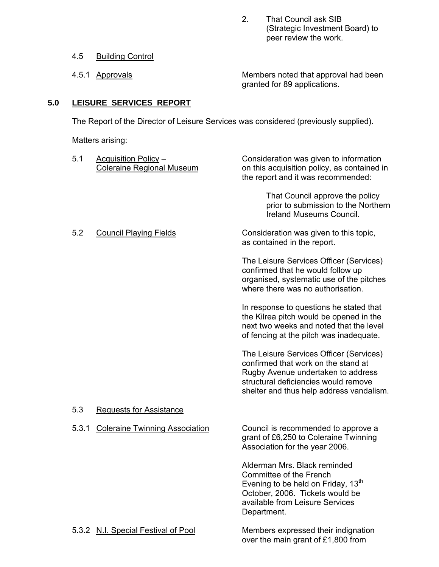2. That Council ask SIB (Strategic Investment Board) to peer review the work.

- 4.5 Building Control
- 

4.5.1 Approvals Members noted that approval had been granted for 89 applications.

# **5.0 LEISURE SERVICES REPORT**

The Report of the Director of Leisure Services was considered (previously supplied).

Matters arising:

| 5.1   | <b>Acquisition Policy -</b><br><b>Coleraine Regional Museum</b> | Consideration was given to information<br>on this acquisition policy, as contained in<br>the report and it was recommended:                                                                              |
|-------|-----------------------------------------------------------------|----------------------------------------------------------------------------------------------------------------------------------------------------------------------------------------------------------|
|       |                                                                 | That Council approve the policy<br>prior to submission to the Northern<br>Ireland Museums Council.                                                                                                       |
| 5.2   | <b>Council Playing Fields</b>                                   | Consideration was given to this topic,<br>as contained in the report.                                                                                                                                    |
|       |                                                                 | The Leisure Services Officer (Services)<br>confirmed that he would follow up<br>organised, systematic use of the pitches<br>where there was no authorisation.                                            |
|       |                                                                 | In response to questions he stated that<br>the Kilrea pitch would be opened in the<br>next two weeks and noted that the level<br>of fencing at the pitch was inadequate.                                 |
|       |                                                                 | The Leisure Services Officer (Services)<br>confirmed that work on the stand at<br>Rugby Avenue undertaken to address<br>structural deficiencies would remove<br>shelter and thus help address vandalism. |
| 5.3   | <b>Requests for Assistance</b>                                  |                                                                                                                                                                                                          |
| 5.3.1 | <b>Coleraine Twinning Association</b>                           | Council is recommended to approve a<br>grant of £6,250 to Coleraine Twinning<br>Association for the year 2006.                                                                                           |
|       |                                                                 | Alderman Mrs. Black reminded<br>Committee of the French<br>Evening to be held on Friday, 13 <sup>th</sup><br>October, 2006. Tickets would be<br>available from Leisure Services<br>Department.           |
|       | 5.3.2 N.I. Special Festival of Pool                             | Members expressed their indignation<br>over the main grant of £1,800 from                                                                                                                                |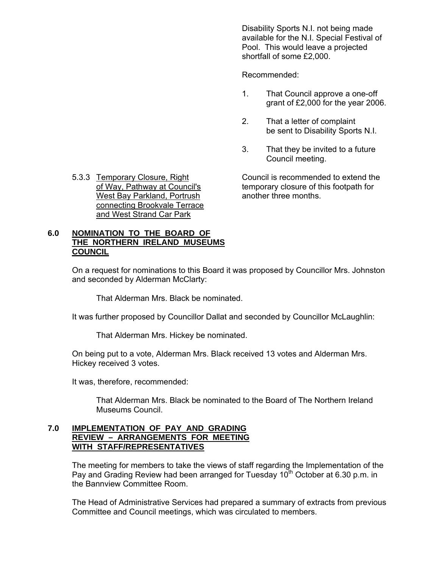Disability Sports N.I. not being made available for the N.I. Special Festival of Pool. This would leave a projected shortfall of some £2,000.

Recommended:

- 1. That Council approve a one-off grant of £2,000 for the year 2006.
- 2. That a letter of complaint be sent to Disability Sports N.I.
- 3. That they be invited to a future Council meeting.

5.3.3 Temporary Closure, Right Council is recommended to extend the of Way, Pathway at Council's temporary closure of this footpath for

West Bay Parkland, Portrush another three months. connecting Brookvale Terrace and West Strand Car Park

# **6.0 NOMINATION TO THE BOARD OF THE NORTHERN IRELAND MUSEUMS COUNCIL**

 On a request for nominations to this Board it was proposed by Councillor Mrs. Johnston and seconded by Alderman McClarty:

That Alderman Mrs. Black be nominated.

It was further proposed by Councillor Dallat and seconded by Councillor McLaughlin:

That Alderman Mrs. Hickey be nominated.

 On being put to a vote, Alderman Mrs. Black received 13 votes and Alderman Mrs. Hickey received 3 votes.

It was, therefore, recommended:

 That Alderman Mrs. Black be nominated to the Board of The Northern Ireland Museums Council.

#### **7.0 IMPLEMENTATION OF PAY AND GRADING REVIEW – ARRANGEMENTS FOR MEETING WITH STAFF/REPRESENTATIVES**

The meeting for members to take the views of staff regarding the Implementation of the Pay and Grading Review had been arranged for Tuesday  $10<sup>th</sup>$  October at 6.30 p.m. in the Bannview Committee Room.

The Head of Administrative Services had prepared a summary of extracts from previous Committee and Council meetings, which was circulated to members.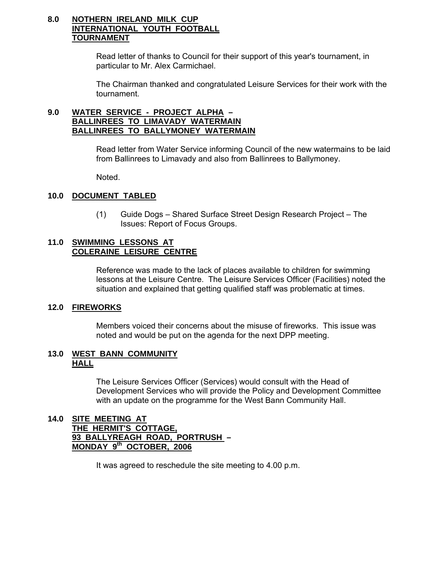# **8.0 NOTHERN IRELAND MILK CUP INTERNATIONAL YOUTH FOOTBALL TOURNAMENT**

Read letter of thanks to Council for their support of this year's tournament, in particular to Mr. Alex Carmichael.

The Chairman thanked and congratulated Leisure Services for their work with the tournament.

#### **9.0 WATER SERVICE - PROJECT ALPHA – BALLINREES TO LIMAVADY WATERMAIN BALLINREES TO BALLYMONEY WATERMAIN**

Read letter from Water Service informing Council of the new watermains to be laid from Ballinrees to Limavady and also from Ballinrees to Ballymoney.

Noted.

# **10.0 DOCUMENT TABLED**

(1) Guide Dogs – Shared Surface Street Design Research Project – The Issues: Report of Focus Groups.

### **11.0 SWIMMING LESSONS AT COLERAINE LEISURE CENTRE**

 Reference was made to the lack of places available to children for swimming lessons at the Leisure Centre. The Leisure Services Officer (Facilities) noted the situation and explained that getting qualified staff was problematic at times.

#### **12.0 FIREWORKS**

Members voiced their concerns about the misuse of fireworks. This issue was noted and would be put on the agenda for the next DPP meeting.

#### **13.0 WEST BANN COMMUNITY HALL**

 The Leisure Services Officer (Services) would consult with the Head of Development Services who will provide the Policy and Development Committee with an update on the programme for the West Bann Community Hall.

#### **14.0 SITE MEETING AT THE HERMIT'S COTTAGE, 93 BALLYREAGH ROAD, PORTRUSH – MONDAY 9th OCTOBER, 2006**

It was agreed to reschedule the site meeting to 4.00 p.m.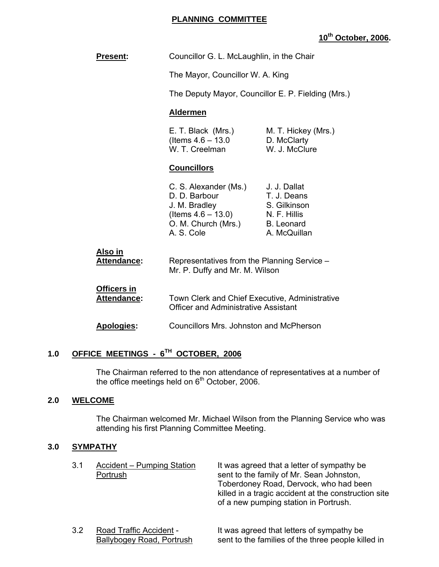#### **PLANNING COMMITTEE**

# **10th October, 2006.**

| <b>Present:</b> | Councillor G. L. McLaughlin, in the Chair |
|-----------------|-------------------------------------------|
|                 | The Mayor, Councillor W. A. King          |

The Deputy Mayor, Councillor E. P. Fielding (Mrs.)

#### **Aldermen**

| E. T. Black (Mrs.)    | M. T. Hickey (Mrs.) |
|-----------------------|---------------------|
| (Items $4.6 - 13.0$ ) | D. McClarty         |
| W. T. Creelman        | W. J. McClure       |

#### **Councillors**

| C. S. Alexander (Ms.) | J. J. Dallat      |
|-----------------------|-------------------|
| D. D. Barbour         | T. J. Deans       |
| J. M. Bradley         | S. Gilkinson      |
| (Items $4.6 - 13.0$ ) | N. F. Hillis      |
| O. M. Church (Mrs.)   | <b>B.</b> Leonard |
| A. S. Cole            | A. McQuillan      |

| Also in     |                                             |
|-------------|---------------------------------------------|
| Attendance: | Representatives from the Planning Service – |
|             | Mr. P. Duffy and Mr. M. Wilson              |

# **Officers in Attendance:** Town Clerk and Chief Executive, Administrative Officer and Administrative Assistant

**Apologies:** Councillors Mrs. Johnston and McPherson

# **1.0 OFFICE MEETINGS - 6TH OCTOBER, 2006**

 The Chairman referred to the non attendance of representatives at a number of the office meetings held on  $6<sup>th</sup>$  October, 2006.

#### **2.0 WELCOME**

 The Chairman welcomed Mr. Michael Wilson from the Planning Service who was attending his first Planning Committee Meeting.

#### **3.0 SYMPATHY**

| 3.1 | Accident – Pumping Station<br>Portrush | It was agreed that a letter of sympathy be<br>sent to the family of Mr. Sean Johnston,<br>Toberdoney Road, Dervock, who had been<br>killed in a tragic accident at the construction site<br>of a new pumping station in Portrush. |
|-----|----------------------------------------|-----------------------------------------------------------------------------------------------------------------------------------------------------------------------------------------------------------------------------------|
|     |                                        |                                                                                                                                                                                                                                   |

3.2 Road Traffic Accident - It was agreed that letters of sympathy be Ballybogey Road, Portrush sent to the families of the three people killed in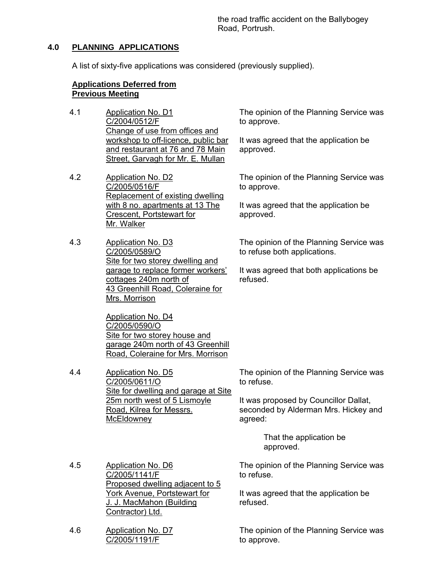the road traffic accident on the Ballybogey Road, Portrush.

# **4.0 PLANNING APPLICATIONS**

A list of sixty-five applications was considered (previously supplied).

#### **Applications Deferred from Previous Meeting**

- 4.1 Application No. D1 C/2004/0512/F Change of use from offices and workshop to off-licence, public bar and restaurant at 76 and 78 Main Street, Garvagh for Mr. E. Mullan
- 4.2 Application No. D2 C/2005/0516/F Replacement of existing dwelling with 8 no. apartments at 13 The Crescent, Portstewart for Mr. Walker
- 4.3 Application No. D3 C/2005/0589/O Site for two storey dwelling and garage to replace former workers' cottages 240m north of 43 Greenhill Road, Coleraine for Mrs. Morrison

Application No. D4 C/2005/0590/O Site for two storey house and garage 240m north of 43 Greenhill Road, Coleraine for Mrs. Morrison

4.4 Application No. D5 C/2005/0611/O Site for dwelling and garage at Site 25m north west of 5 Lismoyle Road, Kilrea for Messrs. **McEldowney** 

The opinion of the Planning Service was to approve.

It was agreed that the application be approved.

The opinion of the Planning Service was to approve.

It was agreed that the application be approved.

The opinion of the Planning Service was to refuse both applications.

It was agreed that both applications be refused.

The opinion of the Planning Service was to refuse.

It was proposed by Councillor Dallat, seconded by Alderman Mrs. Hickey and agreed:

> That the application be approved.

The opinion of the Planning Service was to refuse.

It was agreed that the application be refused.

The opinion of the Planning Service was to approve.

- 4.5 Application No. D6 C/2005/1141/F Proposed dwelling adjacent to 5 York Avenue, Portstewart for J. J. MacMahon (Building Contractor) Ltd.
- 4.6 Application No. D7 C/2005/1191/F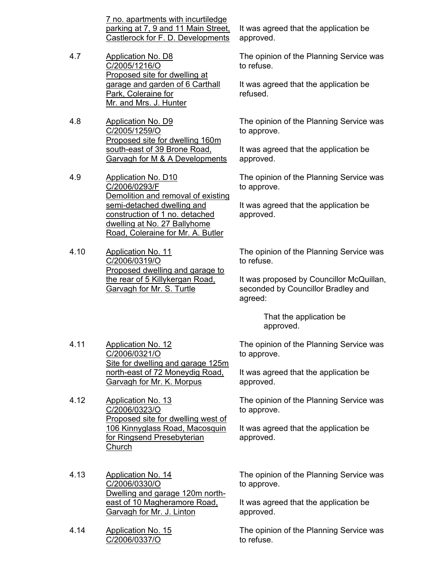7 no. apartments with incurtiledge parking at 7, 9 and 11 Main Street, Castlerock for F. D. Developments

- 4.7 Application No. D8 C/2005/1216/O Proposed site for dwelling at garage and garden of 6 Carthall Park, Coleraine for Mr. and Mrs. J. Hunter
- 4.8 Application No. D9 C/2005/1259/O Proposed site for dwelling 160m south-east of 39 Brone Road, Garvagh for M & A Developments
- 4.9 Application No. D10 C/2006/0293/F Demolition and removal of existing semi-detached dwelling and construction of 1 no. detached dwelling at No. 27 Ballyhome Road, Coleraine for Mr. A. Butler
- 4.10 Application No. 11 C/2006/0319/O Proposed dwelling and garage to the rear of 5 Killykergan Road, Garvagh for Mr. S. Turtle

It was agreed that the application be approved.

The opinion of the Planning Service was to refuse.

It was agreed that the application be refused.

The opinion of the Planning Service was to approve.

It was agreed that the application be approved.

The opinion of the Planning Service was to approve.

It was agreed that the application be approved.

The opinion of the Planning Service was to refuse.

It was proposed by Councillor McQuillan, seconded by Councillor Bradley and agreed:

> That the application be approved.

Site for dwelling and garage 125m The opinion of the Planning Service was to approve.

> It was agreed that the application be approved.

The opinion of the Planning Service was to approve.

It was agreed that the application be approved.

- 4.13 Application No. 14 C/2006/0330/O Dwelling and garage 120m northeast of 10 Magheramore Road, Garvagh for Mr. J. Linton
- 4.14 Application No. 15 C/2006/0337/O

4.11 Application No. 12

4.12 Application No. 13

Church

C/2006/0321/O

C/2006/0323/O

north-east of 72 Moneydig Road, Garvagh for Mr. K. Morpus

Proposed site for dwelling west of 106 Kinnyglass Road, Macosquin

for Ringsend Presebyterian

The opinion of the Planning Service was to approve.

It was agreed that the application be approved.

The opinion of the Planning Service was to refuse.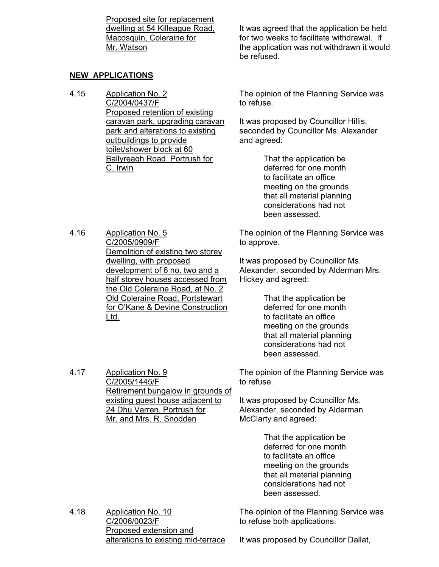Proposed site for replacement dwelling at 54 Killeague Road, Macosquin, Coleraine for Mr. Watson

# **NEW APPLICATIONS**

4.16 Application No. 5

Ltd.

4.15 Application No. 2 C/2004/0437/F Proposed retention of existing caravan park, upgrading caravan park and alterations to existing outbuildings to provide toilet/shower block at 60 Ballyreagh Road, Portrush for C. Irwin

It was agreed that the application be held for two weeks to facilitate withdrawal. If the application was not withdrawn it would be refused.

The opinion of the Planning Service was to refuse.

It was proposed by Councillor Hillis, seconded by Councillor Ms. Alexander and agreed:

> That the application be deferred for one month to facilitate an office meeting on the grounds that all material planning considerations had not been assessed.

The opinion of the Planning Service was to approve.

It was proposed by Councillor Ms. Alexander, seconded by Alderman Mrs. Hickey and agreed:

> That the application be deferred for one month to facilitate an office meeting on the grounds that all material planning considerations had not been assessed.

The opinion of the Planning Service was to refuse.

It was proposed by Councillor Ms. Alexander, seconded by Alderman McClarty and agreed:

> That the application be deferred for one month to facilitate an office meeting on the grounds that all material planning considerations had not been assessed.

4.18 Application No. 10 C/2006/0023/F Proposed extension and alterations to existing mid-terrace The opinion of the Planning Service was to refuse both applications.

C/2005/0909/F Demolition of existing two storey dwelling, with proposed development of 6 no. two and a half storey houses accessed from the Old Coleraine Road, at No. 2 Old Coleraine Road, Portstewart

4.17 Application No. 9

C/2005/1445/F Retirement bungalow in grounds of existing guest house adjacent to 24 Dhu Varren, Portrush for Mr. and Mrs. R. Snodden

for O'Kane & Devine Construction

It was proposed by Councillor Dallat,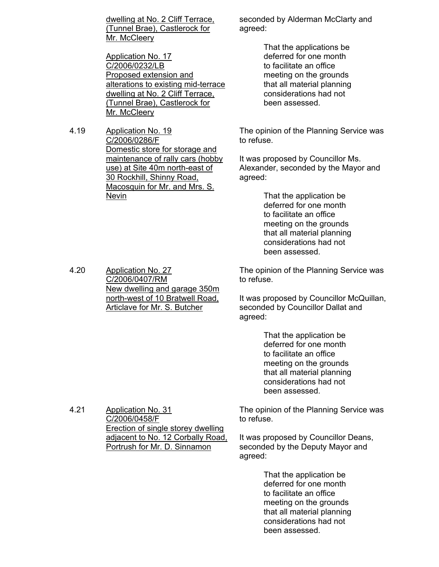dwelling at No. 2 Cliff Terrace, (Tunnel Brae), Castlerock for Mr. McCleery

Application No. 17 C/2006/0232/LB Proposed extension and alterations to existing mid-terrace dwelling at No. 2 Cliff Terrace, (Tunnel Brae), Castlerock for Mr. McCleery

4.19 Application No. 19 C/2006/0286/F Domestic store for storage and maintenance of rally cars (hobby use) at Site 40m north-east of 30 Rockhill, Shinny Road, Macosquin for Mr. and Mrs. S. Nevin

seconded by Alderman McClarty and agreed:

> That the applications be deferred for one month to facilitate an office meeting on the grounds that all material planning considerations had not been assessed.

The opinion of the Planning Service was to refuse.

It was proposed by Councillor Ms. Alexander, seconded by the Mayor and agreed:

> That the application be deferred for one month to facilitate an office meeting on the grounds that all material planning considerations had not been assessed.

The opinion of the Planning Service was to refuse.

It was proposed by Councillor McQuillan, seconded by Councillor Dallat and agreed:

> That the application be deferred for one month to facilitate an office meeting on the grounds that all material planning considerations had not been assessed.

The opinion of the Planning Service was to refuse.

> It was proposed by Councillor Deans, seconded by the Deputy Mayor and agreed:

> > That the application be deferred for one month to facilitate an office meeting on the grounds that all material planning considerations had not been assessed.

4.20 Application No. 27 C/2006/0407/RM New dwelling and garage 350m north-west of 10 Bratwell Road, Articlave for Mr. S. Butcher

4.21 Application No. 31 C/2006/0458/F Erection of single storey dwelling adjacent to No. 12 Corbally Road, Portrush for Mr. D. Sinnamon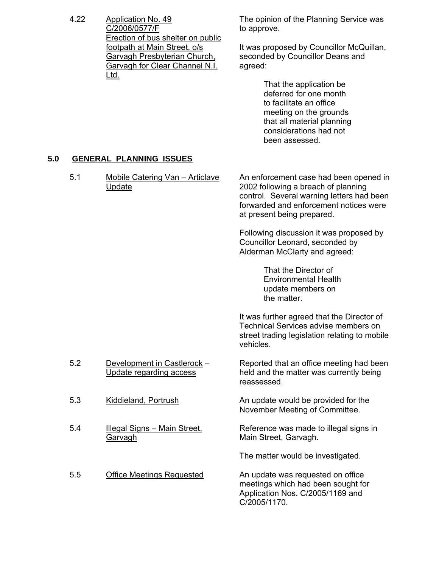4.22 Application No. 49 C/2006/0577/F Erection of bus shelter on public footpath at Main Street, o/s Garvagh Presbyterian Church, Garvagh for Clear Channel N.I. Ltd.

The opinion of the Planning Service was to approve.

It was proposed by Councillor McQuillan, seconded by Councillor Deans and agreed:

> That the application be deferred for one month to facilitate an office meeting on the grounds that all material planning considerations had not been assessed.

# **5.0 GENERAL PLANNING ISSUES**

5.1 Mobile Catering Van – Articlave Update An enforcement case had been opened in 2002 following a breach of planning control. Several warning letters had been forwarded and enforcement notices were at present being prepared. Following discussion it was proposed by Councillor Leonard, seconded by Alderman McClarty and agreed: That the Director of Environmental Health update members on the matter. It was further agreed that the Director of Technical Services advise members on street trading legislation relating to mobile vehicles. 5.2 Development in Castlerock – Update regarding access Reported that an office meeting had been held and the matter was currently being reassessed. 5.3 Kiddieland, Portrush An update would be provided for the November Meeting of Committee. 5.4 Illegal Signs – Main Street, Garvagh Reference was made to illegal signs in Main Street, Garvagh. The matter would be investigated. 5.5 Office Meetings Requested An update was requested on office meetings which had been sought for Application Nos. C/2005/1169 and C/2005/1170.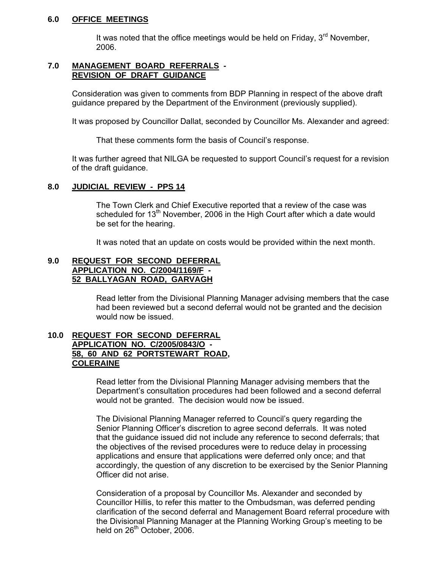#### **6.0 OFFICE MEETINGS**

It was noted that the office meetings would be held on Friday,  $3<sup>rd</sup>$  November, 2006.

#### **7.0 MANAGEMENT BOARD REFERRALS - REVISION OF DRAFT GUIDANCE**

 Consideration was given to comments from BDP Planning in respect of the above draft guidance prepared by the Department of the Environment (previously supplied).

It was proposed by Councillor Dallat, seconded by Councillor Ms. Alexander and agreed:

That these comments form the basis of Council's response.

 It was further agreed that NILGA be requested to support Council's request for a revision of the draft guidance.

#### **8.0 JUDICIAL REVIEW - PPS 14**

 The Town Clerk and Chief Executive reported that a review of the case was scheduled for  $13<sup>th</sup>$  November, 2006 in the High Court after which a date would be set for the hearing.

It was noted that an update on costs would be provided within the next month.

#### **9.0 REQUEST FOR SECOND DEFERRAL APPLICATION NO. C/2004/1169/F - 52 BALLYAGAN ROAD, GARVAGH**

 Read letter from the Divisional Planning Manager advising members that the case had been reviewed but a second deferral would not be granted and the decision would now be issued.

#### **10.0 REQUEST FOR SECOND DEFERRAL APPLICATION NO. C/2005/0843/O - 58, 60 AND 62 PORTSTEWART ROAD, COLERAINE**

 Read letter from the Divisional Planning Manager advising members that the Department's consultation procedures had been followed and a second deferral would not be granted. The decision would now be issued.

 The Divisional Planning Manager referred to Council's query regarding the Senior Planning Officer's discretion to agree second deferrals. It was noted that the guidance issued did not include any reference to second deferrals; that the objectives of the revised procedures were to reduce delay in processing applications and ensure that applications were deferred only once; and that accordingly, the question of any discretion to be exercised by the Senior Planning Officer did not arise.

 Consideration of a proposal by Councillor Ms. Alexander and seconded by Councillor Hillis, to refer this matter to the Ombudsman, was deferred pending clarification of the second deferral and Management Board referral procedure with the Divisional Planning Manager at the Planning Working Group's meeting to be held on 26<sup>th</sup> October, 2006.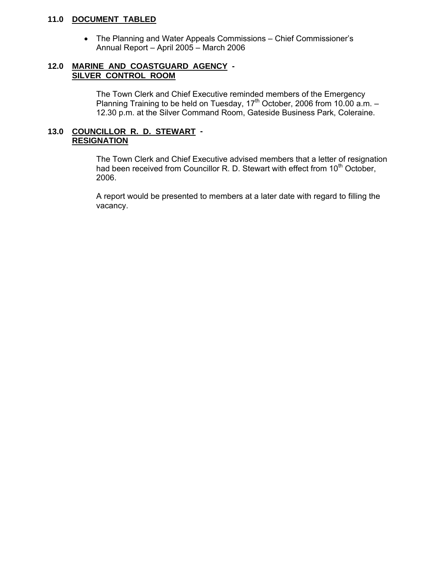### **11.0 DOCUMENT TABLED**

• The Planning and Water Appeals Commissions – Chief Commissioner's Annual Report – April 2005 – March 2006

#### **12.0 MARINE AND COASTGUARD AGENCY - SILVER CONTROL ROOM**

 The Town Clerk and Chief Executive reminded members of the Emergency Planning Training to be held on Tuesday,  $17<sup>th</sup>$  October, 2006 from 10.00 a.m. -12.30 p.m. at the Silver Command Room, Gateside Business Park, Coleraine.

### **13.0 COUNCILLOR R. D. STEWART - RESIGNATION**

 The Town Clerk and Chief Executive advised members that a letter of resignation had been received from Councillor R. D. Stewart with effect from 10<sup>th</sup> October, 2006.

 A report would be presented to members at a later date with regard to filling the vacancy.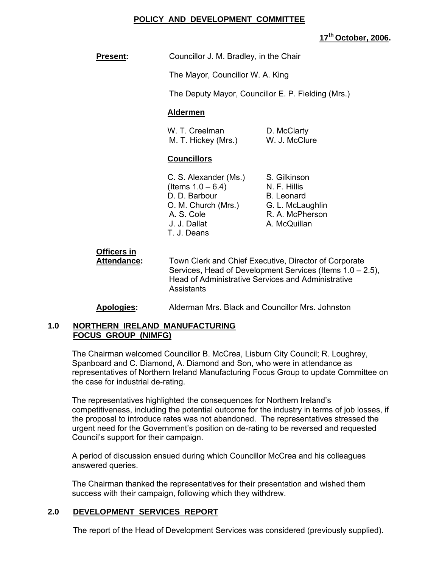### **POLICY AND DEVELOPMENT COMMITTEE**

**17th October, 2006.** 

**Present:** Councillor J. M. Bradley, in the Chair

The Mayor, Councillor W. A. King

The Deputy Mayor, Councillor E. P. Fielding (Mrs.)

### **Aldermen**

W. T. Creelman D. McClarty M. T. Hickey (Mrs.) W. J. McClure

#### **Councillors**

| S. Gilkinson      |
|-------------------|
| N. F. Hillis      |
| <b>B.</b> Leonard |
| G. L. McLaughlin  |
| R. A. McPherson   |
| A. McQuillan      |
|                   |
|                   |

# **Officers in**

**Attendance:** Town Clerk and Chief Executive, Director of Corporate Services, Head of Development Services (Items 1.0 – 2.5), Head of Administrative Services and Administrative **Assistants** 

#### **Apologies:** Alderman Mrs. Black and Councillor Mrs. Johnston

#### **1.0 NORTHERN IRELAND MANUFACTURING FOCUS GROUP (NIMFG)**

The Chairman welcomed Councillor B. McCrea, Lisburn City Council; R. Loughrey, Spanboard and C. Diamond, A. Diamond and Son, who were in attendance as representatives of Northern Ireland Manufacturing Focus Group to update Committee on the case for industrial de-rating.

The representatives highlighted the consequences for Northern Ireland's competitiveness, including the potential outcome for the industry in terms of job losses, if the proposal to introduce rates was not abandoned. The representatives stressed the urgent need for the Government's position on de-rating to be reversed and requested Council's support for their campaign.

A period of discussion ensued during which Councillor McCrea and his colleagues answered queries.

The Chairman thanked the representatives for their presentation and wished them success with their campaign, following which they withdrew.

# **2.0 DEVELOPMENT SERVICES REPORT**

The report of the Head of Development Services was considered (previously supplied).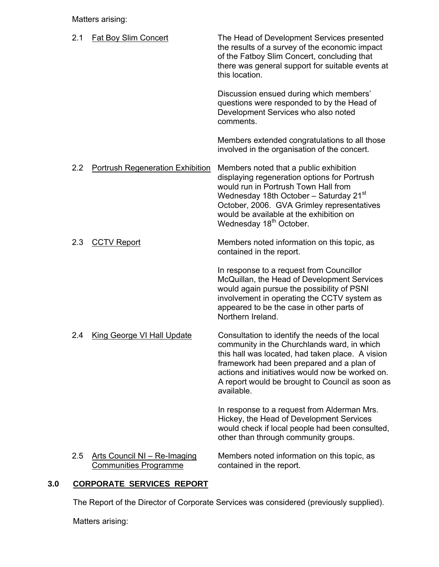Matters arising:

| 2.1 | <b>Fat Boy Slim Concert</b>                                  | The Head of Development Services presented<br>the results of a survey of the economic impact<br>of the Fatboy Slim Concert, concluding that<br>there was general support for suitable events at<br>this location.                                                                                                   |
|-----|--------------------------------------------------------------|---------------------------------------------------------------------------------------------------------------------------------------------------------------------------------------------------------------------------------------------------------------------------------------------------------------------|
|     |                                                              | Discussion ensued during which members'<br>questions were responded to by the Head of<br>Development Services who also noted<br>comments.                                                                                                                                                                           |
|     |                                                              | Members extended congratulations to all those<br>involved in the organisation of the concert.                                                                                                                                                                                                                       |
| 2.2 | <b>Portrush Regeneration Exhibition</b>                      | Members noted that a public exhibition<br>displaying regeneration options for Portrush<br>would run in Portrush Town Hall from<br>Wednesday 18th October - Saturday 21st<br>October, 2006. GVA Grimley representatives<br>would be available at the exhibition on<br>Wednesday 18 <sup>th</sup> October.            |
| 2.3 | <b>CCTV Report</b>                                           | Members noted information on this topic, as<br>contained in the report.                                                                                                                                                                                                                                             |
|     |                                                              | In response to a request from Councillor<br>McQuillan, the Head of Development Services<br>would again pursue the possibility of PSNI<br>involvement in operating the CCTV system as<br>appeared to be the case in other parts of<br>Northern Ireland.                                                              |
| 2.4 | <b>King George VI Hall Update</b>                            | Consultation to identify the needs of the local<br>community in the Churchlands ward, in which<br>this hall was located, had taken place. A vision<br>framework had been prepared and a plan of<br>actions and initiatives would now be worked on.<br>A report would be brought to Council as soon as<br>available. |
|     |                                                              | In response to a request from Alderman Mrs.<br>Hickey, the Head of Development Services<br>would check if local people had been consulted,<br>other than through community groups.                                                                                                                                  |
| 2.5 | Arts Council NI - Re-Imaging<br><b>Communities Programme</b> | Members noted information on this topic, as<br>contained in the report.                                                                                                                                                                                                                                             |

# **3.0 CORPORATE SERVICES REPORT**

The Report of the Director of Corporate Services was considered (previously supplied).

Matters arising: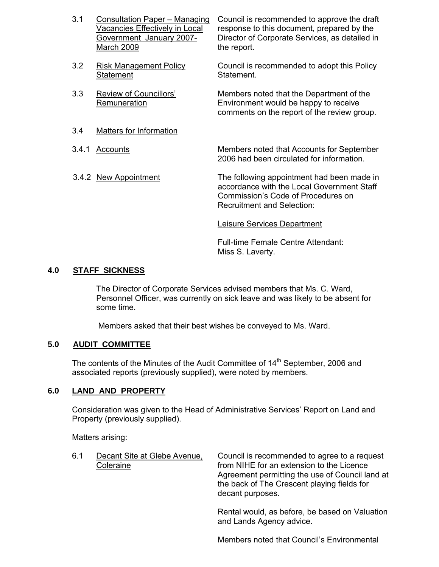| 3.1 | Consultation Paper - Managing<br>Vacancies Effectively in Local<br>Government January 2007-<br>March 2009 | Council is recommended to approve the draft<br>response to this document, prepared by the<br>Director of Corporate Services, as detailed in<br>the report. |
|-----|-----------------------------------------------------------------------------------------------------------|------------------------------------------------------------------------------------------------------------------------------------------------------------|
| 3.2 | <b>Risk Management Policy</b><br><b>Statement</b>                                                         | Council is recommended to adopt this Policy<br>Statement.                                                                                                  |
| 3.3 | Review of Councillors'<br>Remuneration                                                                    | Members noted that the Department of the<br>Environment would be happy to receive<br>comments on the report of the review group.                           |
| 3.4 | Matters for Information                                                                                   |                                                                                                                                                            |

 3.4.1 Accounts Members noted that Accounts for September 2006 had been circulated for information.

3.4.2 New Appointment The following appointment had been made in accordance with the Local Government Staff Commission's Code of Procedures on Recruitment and Selection:

Leisure Services Department

 Full-time Female Centre Attendant: Miss S. Laverty.

# **4.0 STAFF SICKNESS**

The Director of Corporate Services advised members that Ms. C. Ward, Personnel Officer, was currently on sick leave and was likely to be absent for some time.

Members asked that their best wishes be conveyed to Ms. Ward.

#### **5.0 AUDIT COMMITTEE**

The contents of the Minutes of the Audit Committee of 14<sup>th</sup> September, 2006 and associated reports (previously supplied), were noted by members.

#### **6.0 LAND AND PROPERTY**

 Consideration was given to the Head of Administrative Services' Report on Land and Property (previously supplied).

Matters arising:

| 6.1 | Decant Site at Glebe Avenue,<br>Coleraine | Council is recommended to agree to a request<br>from NIHE for an extension to the Licence                          |
|-----|-------------------------------------------|--------------------------------------------------------------------------------------------------------------------|
|     |                                           | Agreement permitting the use of Council land at<br>the back of The Crescent playing fields for<br>decant purposes. |
|     |                                           |                                                                                                                    |

Rental would, as before, be based on Valuation and Lands Agency advice.

Members noted that Council's Environmental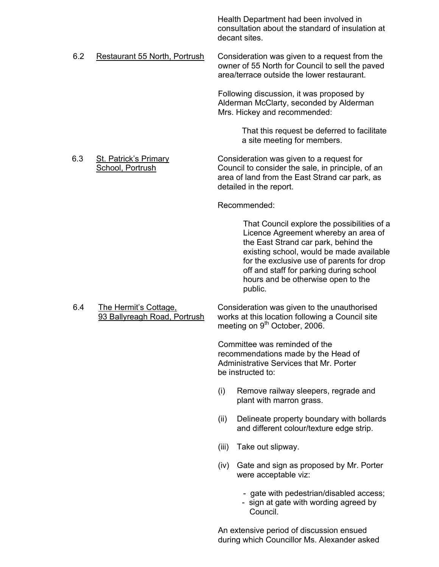Health Department had been involved in consultation about the standard of insulation at decant sites.

6.2 Restaurant 55 North, Portrush Consideration was given to a request from the owner of 55 North for Council to sell the paved area/terrace outside the lower restaurant.

> Following discussion, it was proposed by Alderman McClarty, seconded by Alderman Mrs. Hickey and recommended:

> > That this request be deferred to facilitate a site meeting for members.

6.3 St. Patrick's Primary Consideration was given to a request for School, Portrush Council to consider the sale, in principle, of an area of land from the East Strand car park, as detailed in the report.

Recommended:

 That Council explore the possibilities of a Licence Agreement whereby an area of the East Strand car park, behind the existing school, would be made available for the exclusive use of parents for drop off and staff for parking during school hours and be otherwise open to the public.

 6.4 The Hermit's Cottage, Consideration was given to the unauthorised 93 Ballyreagh Road, Portrush works at this location following a Council site meeting on 9<sup>th</sup> October, 2006.

> Committee was reminded of the recommendations made by the Head of Administrative Services that Mr. Porter be instructed to:

- (i) Remove railway sleepers, regrade and plant with marron grass.
- (ii) Delineate property boundary with bollards and different colour/texture edge strip.
- (iii) Take out slipway.
- (iv) Gate and sign as proposed by Mr. Porter were acceptable viz:
	- gate with pedestrian/disabled access;
	- sign at gate with wording agreed by Council.

An extensive period of discussion ensued during which Councillor Ms. Alexander asked